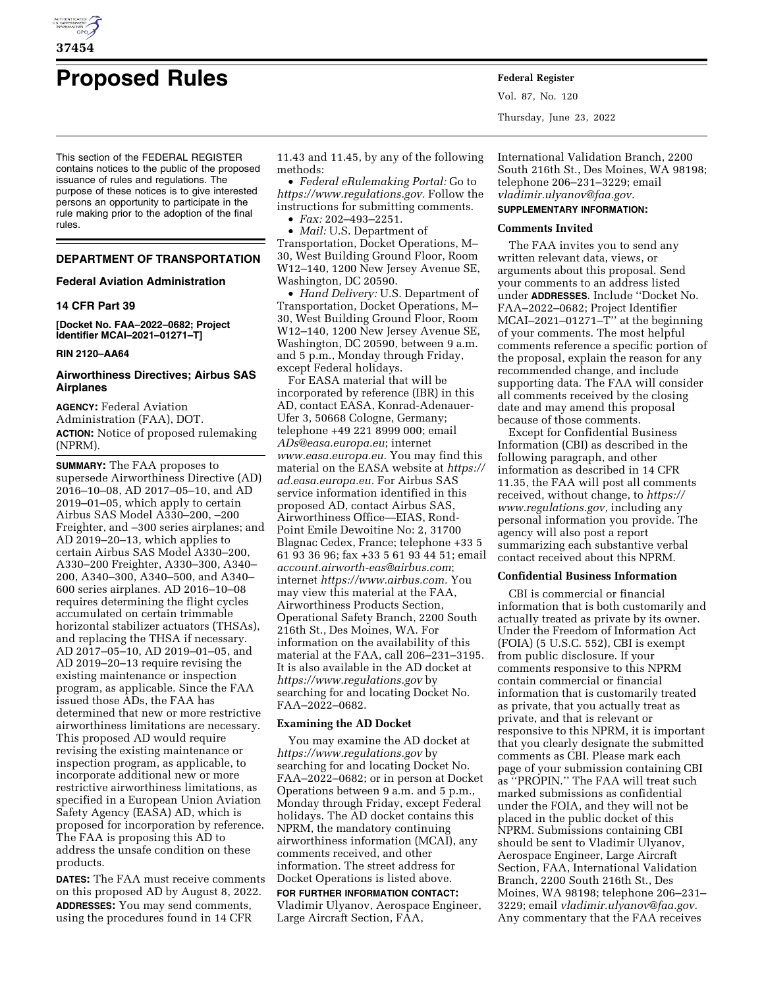

# **Proposed Rules Federal Register**

This section of the FEDERAL REGISTER contains notices to the public of the proposed issuance of rules and regulations. The purpose of these notices is to give interested persons an opportunity to participate in the rule making prior to the adoption of the final rules.

# **DEPARTMENT OF TRANSPORTATION**

## **Federal Aviation Administration**

## **14 CFR Part 39**

**[Docket No. FAA–2022–0682; Project Identifier MCAI–2021–01271–T]** 

#### **RIN 2120–AA64**

# **Airworthiness Directives; Airbus SAS Airplanes**

**AGENCY:** Federal Aviation Administration (FAA), DOT. **ACTION:** Notice of proposed rulemaking (NPRM).

**SUMMARY:** The FAA proposes to supersede Airworthiness Directive (AD) 2016–10–08, AD 2017–05–10, and AD 2019–01–05, which apply to certain Airbus SAS Model A330–200, –200 Freighter, and –300 series airplanes; and AD 2019–20–13, which applies to certain Airbus SAS Model A330–200, A330–200 Freighter, A330–300, A340– 200, A340–300, A340–500, and A340– 600 series airplanes. AD 2016–10–08 requires determining the flight cycles accumulated on certain trimmable horizontal stabilizer actuators (THSAs), and replacing the THSA if necessary. AD 2017–05–10, AD 2019–01–05, and AD 2019–20–13 require revising the existing maintenance or inspection program, as applicable. Since the FAA issued those ADs, the FAA has determined that new or more restrictive airworthiness limitations are necessary. This proposed AD would require revising the existing maintenance or inspection program, as applicable, to incorporate additional new or more restrictive airworthiness limitations, as specified in a European Union Aviation Safety Agency (EASA) AD, which is proposed for incorporation by reference. The FAA is proposing this AD to address the unsafe condition on these products.

**DATES:** The FAA must receive comments on this proposed AD by August 8, 2022. **ADDRESSES:** You may send comments, using the procedures found in 14 CFR

11.43 and 11.45, by any of the following methods:

• *Federal eRulemaking Portal:* Go to *[https://www.regulations.gov.](https://www.regulations.gov)* Follow the instructions for submitting comments.

• *Fax:* 202–493–2251.

• *Mail:* U.S. Department of Transportation, Docket Operations, M– 30, West Building Ground Floor, Room W12–140, 1200 New Jersey Avenue SE, Washington, DC 20590.

• *Hand Delivery:* U.S. Department of Transportation, Docket Operations, M– 30, West Building Ground Floor, Room W12–140, 1200 New Jersey Avenue SE, Washington, DC 20590, between 9 a.m. and 5 p.m., Monday through Friday, except Federal holidays.

For EASA material that will be incorporated by reference (IBR) in this AD, contact EASA, Konrad-Adenauer-Ufer 3, 50668 Cologne, Germany; telephone +49 221 8999 000; email *[ADs@easa.europa.eu](mailto:ADs@easa.europa.eu)*; internet *[www.easa.europa.eu.](http://www.easa.europa.eu)* You may find this material on the EASA website at *[https://](https://ad.easa.europa.eu)  [ad.easa.europa.eu.](https://ad.easa.europa.eu)* For Airbus SAS service information identified in this proposed AD, contact Airbus SAS, Airworthiness Office—EIAS, Rond-Point Emile Dewoitine No: 2, 31700 Blagnac Cedex, France; telephone +33 5 61 93 36 96; fax +33 5 61 93 44 51; email *[account.airworth-eas@airbus.com](mailto:account.airworth-eas@airbus.com)*; internet *[https://www.airbus.com.](https://www.airbus.com)* You may view this material at the FAA, Airworthiness Products Section, Operational Safety Branch, 2200 South 216th St., Des Moines, WA. For information on the availability of this material at the FAA, call 206–231–3195. It is also available in the AD docket at *<https://www.regulations.gov>* by searching for and locating Docket No. FAA–2022–0682.

## **Examining the AD Docket**

You may examine the AD docket at *<https://www.regulations.gov>* by searching for and locating Docket No. FAA–2022–0682; or in person at Docket Operations between 9 a.m. and 5 p.m., Monday through Friday, except Federal holidays. The AD docket contains this NPRM, the mandatory continuing airworthiness information (MCAI), any comments received, and other information. The street address for Docket Operations is listed above.

**FOR FURTHER INFORMATION CONTACT:**  Vladimir Ulyanov, Aerospace Engineer, Large Aircraft Section, FAA,

Vol. 87, No. 120 Thursday, June 23, 2022

International Validation Branch, 2200 South 216th St., Des Moines, WA 98198; telephone 206–231–3229; email *[vladimir.ulyanov@faa.gov.](mailto:vladimir.ulyanov@faa.gov)* 

# **SUPPLEMENTARY INFORMATION:**

# **Comments Invited**

The FAA invites you to send any written relevant data, views, or arguments about this proposal. Send your comments to an address listed under **ADDRESSES**. Include ''Docket No. FAA–2022–0682; Project Identifier MCAI–2021–01271–T'' at the beginning of your comments. The most helpful comments reference a specific portion of the proposal, explain the reason for any recommended change, and include supporting data. The FAA will consider all comments received by the closing date and may amend this proposal because of those comments.

Except for Confidential Business Information (CBI) as described in the following paragraph, and other information as described in 14 CFR 11.35, the FAA will post all comments received, without change, to *[https://](https://www.regulations.gov) [www.regulations.gov,](https://www.regulations.gov)* including any personal information you provide. The agency will also post a report summarizing each substantive verbal contact received about this NPRM.

# **Confidential Business Information**

CBI is commercial or financial information that is both customarily and actually treated as private by its owner. Under the Freedom of Information Act (FOIA) (5 U.S.C. 552), CBI is exempt from public disclosure. If your comments responsive to this NPRM contain commercial or financial information that is customarily treated as private, that you actually treat as private, and that is relevant or responsive to this NPRM, it is important that you clearly designate the submitted comments as CBI. Please mark each page of your submission containing CBI as ''PROPIN.'' The FAA will treat such marked submissions as confidential under the FOIA, and they will not be placed in the public docket of this NPRM. Submissions containing CBI should be sent to Vladimir Ulyanov, Aerospace Engineer, Large Aircraft Section, FAA, International Validation Branch, 2200 South 216th St., Des Moines, WA 98198; telephone 206–231– 3229; email *[vladimir.ulyanov@faa.gov.](mailto:vladimir.ulyanov@faa.gov)*  Any commentary that the FAA receives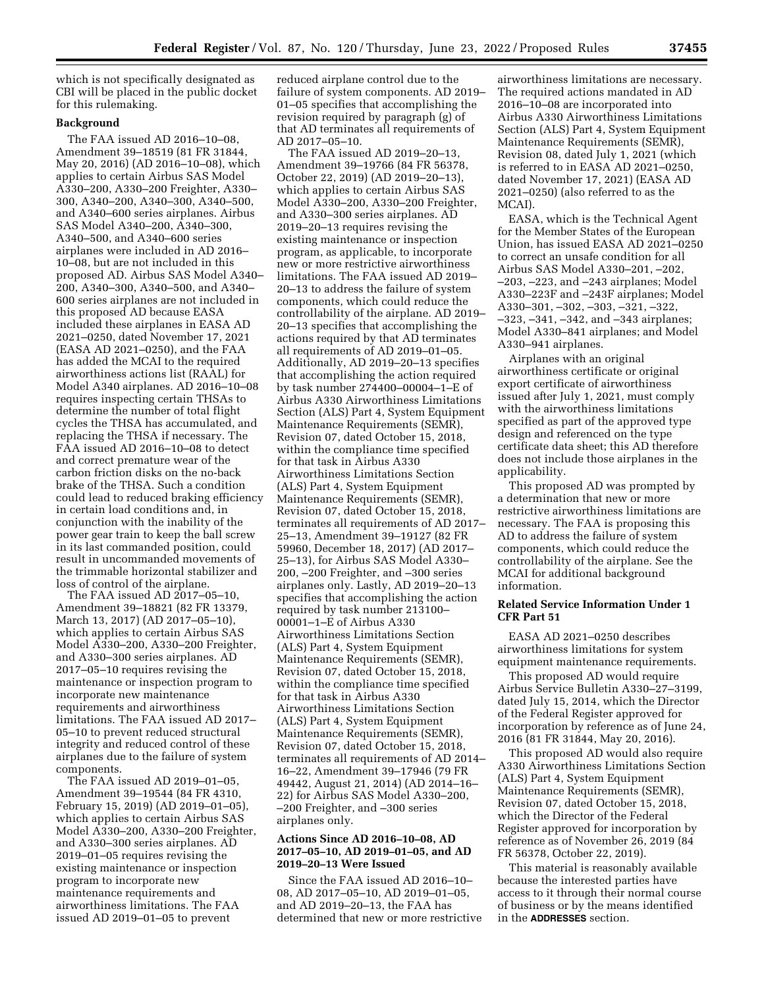which is not specifically designated as CBI will be placed in the public docket for this rulemaking.

# **Background**

The FAA issued AD 2016–10–08, Amendment 39–18519 (81 FR 31844, May 20, 2016) (AD 2016–10–08), which applies to certain Airbus SAS Model A330–200, A330–200 Freighter, A330– 300, A340–200, A340–300, A340–500, and A340–600 series airplanes. Airbus SAS Model A340–200, A340–300, A340–500, and A340–600 series airplanes were included in AD 2016– 10–08, but are not included in this proposed AD. Airbus SAS Model A340– 200, A340–300, A340–500, and A340– 600 series airplanes are not included in this proposed AD because EASA included these airplanes in EASA AD 2021–0250, dated November 17, 2021 (EASA AD 2021–0250), and the FAA has added the MCAI to the required airworthiness actions list (RAAL) for Model A340 airplanes. AD 2016–10–08 requires inspecting certain THSAs to determine the number of total flight cycles the THSA has accumulated, and replacing the THSA if necessary. The FAA issued AD 2016–10–08 to detect and correct premature wear of the carbon friction disks on the no-back brake of the THSA. Such a condition could lead to reduced braking efficiency in certain load conditions and, in conjunction with the inability of the power gear train to keep the ball screw in its last commanded position, could result in uncommanded movements of the trimmable horizontal stabilizer and loss of control of the airplane.

The FAA issued AD 2017–05–10, Amendment 39–18821 (82 FR 13379, March 13, 2017) (AD 2017–05–10), which applies to certain Airbus SAS Model A330–200, A330–200 Freighter, and A330–300 series airplanes. AD 2017–05–10 requires revising the maintenance or inspection program to incorporate new maintenance requirements and airworthiness limitations. The FAA issued AD 2017– 05–10 to prevent reduced structural integrity and reduced control of these airplanes due to the failure of system components.

The FAA issued AD 2019–01–05, Amendment 39–19544 (84 FR 4310, February 15, 2019) (AD 2019–01–05), which applies to certain Airbus SAS Model A330–200, A330–200 Freighter, and A330–300 series airplanes. AD 2019–01–05 requires revising the existing maintenance or inspection program to incorporate new maintenance requirements and airworthiness limitations. The FAA issued AD 2019–01–05 to prevent

reduced airplane control due to the failure of system components. AD 2019– 01–05 specifies that accomplishing the revision required by paragraph (g) of that AD terminates all requirements of AD 2017–05–10.

The FAA issued AD 2019–20–13, Amendment 39–19766 (84 FR 56378, October 22, 2019) (AD 2019–20–13), which applies to certain Airbus SAS Model A330–200, A330–200 Freighter, and A330–300 series airplanes. AD 2019–20–13 requires revising the existing maintenance or inspection program, as applicable, to incorporate new or more restrictive airworthiness limitations. The FAA issued AD 2019– 20–13 to address the failure of system components, which could reduce the controllability of the airplane. AD 2019– 20–13 specifies that accomplishing the actions required by that AD terminates all requirements of AD 2019–01–05. Additionally, AD 2019–20–13 specifies that accomplishing the action required by task number 274400–00004–1–E of Airbus A330 Airworthiness Limitations Section (ALS) Part 4, System Equipment Maintenance Requirements (SEMR), Revision 07, dated October 15, 2018, within the compliance time specified for that task in Airbus A330 Airworthiness Limitations Section (ALS) Part 4, System Equipment Maintenance Requirements (SEMR), Revision 07, dated October 15, 2018, terminates all requirements of AD 2017– 25–13, Amendment 39–19127 (82 FR 59960, December 18, 2017) (AD 2017– 25–13), for Airbus SAS Model A330– 200, –200 Freighter, and –300 series airplanes only. Lastly, AD 2019–20–13 specifies that accomplishing the action required by task number 213100– 00001–1–E of Airbus A330 Airworthiness Limitations Section (ALS) Part 4, System Equipment Maintenance Requirements (SEMR), Revision 07, dated October 15, 2018, within the compliance time specified for that task in Airbus A330 Airworthiness Limitations Section (ALS) Part 4, System Equipment Maintenance Requirements (SEMR), Revision 07, dated October 15, 2018, terminates all requirements of AD 2014– 16–22, Amendment 39–17946 (79 FR 49442, August 21, 2014) (AD 2014–16– 22) for Airbus SAS Model A330–200, –200 Freighter, and –300 series airplanes only.

## **Actions Since AD 2016–10–08, AD 2017–05–10, AD 2019–01–05, and AD 2019–20–13 Were Issued**

Since the FAA issued AD 2016–10– 08, AD 2017–05–10, AD 2019–01–05, and AD 2019–20–13, the FAA has determined that new or more restrictive

airworthiness limitations are necessary. The required actions mandated in AD 2016–10–08 are incorporated into Airbus A330 Airworthiness Limitations Section (ALS) Part 4, System Equipment Maintenance Requirements (SEMR), Revision 08, dated July 1, 2021 (which is referred to in EASA AD 2021–0250, dated November 17, 2021) (EASA AD 2021–0250) (also referred to as the MCAI).

EASA, which is the Technical Agent for the Member States of the European Union, has issued EASA AD 2021–0250 to correct an unsafe condition for all Airbus SAS Model A330–201, –202, –203, –223, and –243 airplanes; Model A330–223F and –243F airplanes; Model A330–301, –302, –303, –321, –322, –323, –341, –342, and –343 airplanes; Model A330–841 airplanes; and Model A330–941 airplanes.

Airplanes with an original airworthiness certificate or original export certificate of airworthiness issued after July 1, 2021, must comply with the airworthiness limitations specified as part of the approved type design and referenced on the type certificate data sheet; this AD therefore does not include those airplanes in the applicability.

This proposed AD was prompted by a determination that new or more restrictive airworthiness limitations are necessary. The FAA is proposing this AD to address the failure of system components, which could reduce the controllability of the airplane. See the MCAI for additional background information.

# **Related Service Information Under 1 CFR Part 51**

EASA AD 2021–0250 describes airworthiness limitations for system equipment maintenance requirements.

This proposed AD would require Airbus Service Bulletin A330–27–3199, dated July 15, 2014, which the Director of the Federal Register approved for incorporation by reference as of June 24, 2016 (81 FR 31844, May 20, 2016).

This proposed AD would also require A330 Airworthiness Limitations Section (ALS) Part 4, System Equipment Maintenance Requirements (SEMR), Revision 07, dated October 15, 2018, which the Director of the Federal Register approved for incorporation by reference as of November 26, 2019 (84 FR 56378, October 22, 2019).

This material is reasonably available because the interested parties have access to it through their normal course of business or by the means identified in the **ADDRESSES** section.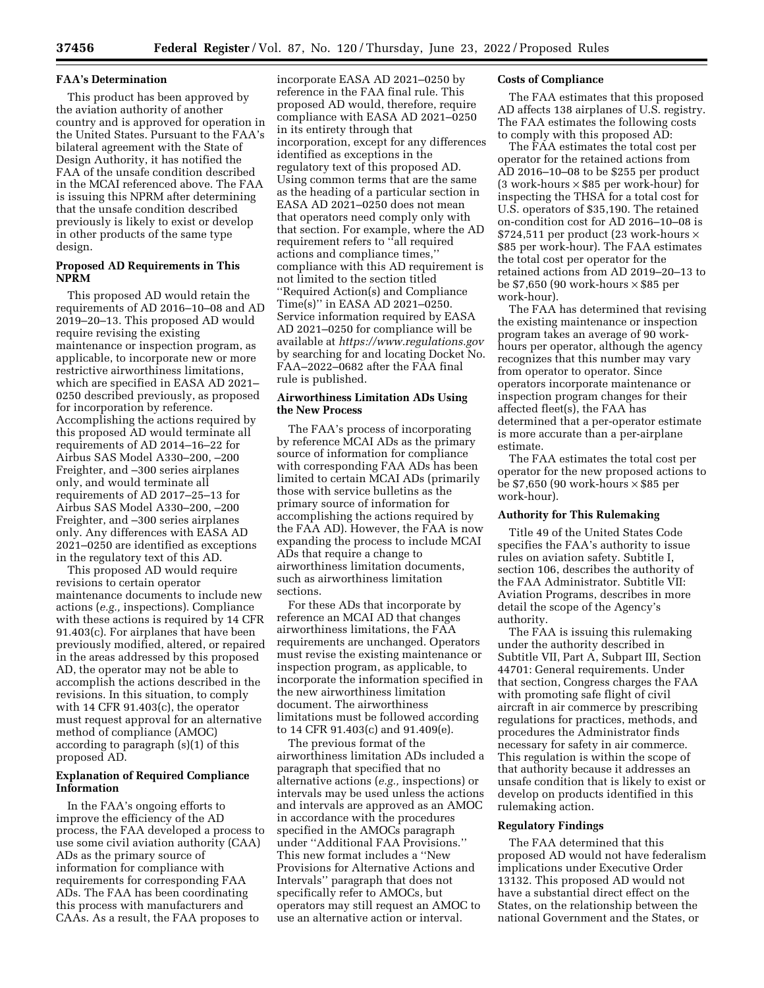## **FAA's Determination**

This product has been approved by the aviation authority of another country and is approved for operation in the United States. Pursuant to the FAA's bilateral agreement with the State of Design Authority, it has notified the FAA of the unsafe condition described in the MCAI referenced above. The FAA is issuing this NPRM after determining that the unsafe condition described previously is likely to exist or develop in other products of the same type design.

## **Proposed AD Requirements in This NPRM**

This proposed AD would retain the requirements of AD 2016–10–08 and AD 2019–20–13. This proposed AD would require revising the existing maintenance or inspection program, as applicable, to incorporate new or more restrictive airworthiness limitations, which are specified in EASA AD 2021– 0250 described previously, as proposed for incorporation by reference. Accomplishing the actions required by this proposed AD would terminate all requirements of AD 2014–16–22 for Airbus SAS Model A330–200, –200 Freighter, and –300 series airplanes only, and would terminate all requirements of AD 2017–25–13 for Airbus SAS Model A330–200, –200 Freighter, and –300 series airplanes only. Any differences with EASA AD 2021–0250 are identified as exceptions in the regulatory text of this AD.

This proposed AD would require revisions to certain operator maintenance documents to include new actions (*e.g.,* inspections). Compliance with these actions is required by 14 CFR 91.403(c). For airplanes that have been previously modified, altered, or repaired in the areas addressed by this proposed AD, the operator may not be able to accomplish the actions described in the revisions. In this situation, to comply with 14 CFR 91.403(c), the operator must request approval for an alternative method of compliance (AMOC) according to paragraph (s)(1) of this proposed AD.

## **Explanation of Required Compliance Information**

In the FAA's ongoing efforts to improve the efficiency of the AD process, the FAA developed a process to use some civil aviation authority (CAA) ADs as the primary source of information for compliance with requirements for corresponding FAA ADs. The FAA has been coordinating this process with manufacturers and CAAs. As a result, the FAA proposes to

incorporate EASA AD 2021–0250 by reference in the FAA final rule. This proposed AD would, therefore, require compliance with EASA AD 2021–0250 in its entirety through that incorporation, except for any differences identified as exceptions in the regulatory text of this proposed AD. Using common terms that are the same as the heading of a particular section in EASA AD 2021-0250 does not mean that operators need comply only with that section. For example, where the AD requirement refers to ''all required actions and compliance times,'' compliance with this AD requirement is not limited to the section titled ''Required Action(s) and Compliance Time(s)'' in EASA AD 2021–0250. Service information required by EASA AD 2021–0250 for compliance will be available at *<https://www.regulations.gov>* by searching for and locating Docket No. FAA–2022–0682 after the FAA final rule is published.

# **Airworthiness Limitation ADs Using the New Process**

The FAA's process of incorporating by reference MCAI ADs as the primary source of information for compliance with corresponding FAA ADs has been limited to certain MCAI ADs (primarily those with service bulletins as the primary source of information for accomplishing the actions required by the FAA AD). However, the FAA is now expanding the process to include MCAI ADs that require a change to airworthiness limitation documents, such as airworthiness limitation sections.

For these ADs that incorporate by reference an MCAI AD that changes airworthiness limitations, the FAA requirements are unchanged. Operators must revise the existing maintenance or inspection program, as applicable, to incorporate the information specified in the new airworthiness limitation document. The airworthiness limitations must be followed according to 14 CFR 91.403(c) and 91.409(e).

The previous format of the airworthiness limitation ADs included a paragraph that specified that no alternative actions (*e.g.,* inspections) or intervals may be used unless the actions and intervals are approved as an AMOC in accordance with the procedures specified in the AMOCs paragraph under ''Additional FAA Provisions.'' This new format includes a ''New Provisions for Alternative Actions and Intervals'' paragraph that does not specifically refer to AMOCs, but operators may still request an AMOC to use an alternative action or interval.

# **Costs of Compliance**

The FAA estimates that this proposed AD affects 138 airplanes of U.S. registry. The FAA estimates the following costs to comply with this proposed AD:

The FAA estimates the total cost per operator for the retained actions from AD 2016–10–08 to be \$255 per product (3 work-hours  $\times$  \$85 per work-hour) for inspecting the THSA for a total cost for U.S. operators of \$35,190. The retained on-condition cost for AD 2016–10–08 is \$724,511 per product (23 work-hours × \$85 per work-hour). The FAA estimates the total cost per operator for the retained actions from AD 2019–20–13 to be \$7,650 (90 work-hours  $\times$  \$85 per work-hour).

The FAA has determined that revising the existing maintenance or inspection program takes an average of 90 workhours per operator, although the agency recognizes that this number may vary from operator to operator. Since operators incorporate maintenance or inspection program changes for their affected fleet(s), the FAA has determined that a per-operator estimate is more accurate than a per-airplane estimate.

The FAA estimates the total cost per operator for the new proposed actions to be \$7,650 (90 work-hours  $\times$  \$85 per work-hour).

# **Authority for This Rulemaking**

Title 49 of the United States Code specifies the FAA's authority to issue rules on aviation safety. Subtitle I, section 106, describes the authority of the FAA Administrator. Subtitle VII: Aviation Programs, describes in more detail the scope of the Agency's authority.

The FAA is issuing this rulemaking under the authority described in Subtitle VII, Part A, Subpart III, Section 44701: General requirements. Under that section, Congress charges the FAA with promoting safe flight of civil aircraft in air commerce by prescribing regulations for practices, methods, and procedures the Administrator finds necessary for safety in air commerce. This regulation is within the scope of that authority because it addresses an unsafe condition that is likely to exist or develop on products identified in this rulemaking action.

#### **Regulatory Findings**

The FAA determined that this proposed AD would not have federalism implications under Executive Order 13132. This proposed AD would not have a substantial direct effect on the States, on the relationship between the national Government and the States, or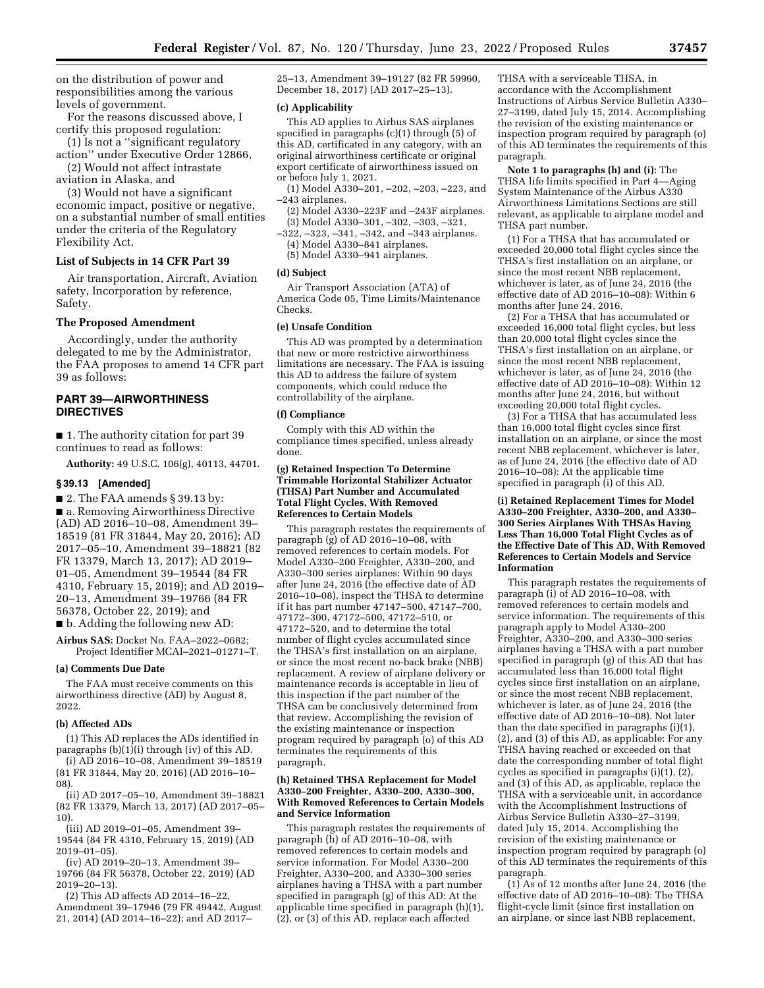on the distribution of power and responsibilities among the various levels of government.

For the reasons discussed above, I certify this proposed regulation:

(1) Is not a ''significant regulatory action'' under Executive Order 12866,

(2) Would not affect intrastate aviation in Alaska, and

(3) Would not have a significant economic impact, positive or negative, on a substantial number of small entities under the criteria of the Regulatory Flexibility Act.

# **List of Subjects in 14 CFR Part 39**

Air transportation, Aircraft, Aviation safety, Incorporation by reference, Safety.

#### **The Proposed Amendment**

Accordingly, under the authority delegated to me by the Administrator, the FAA proposes to amend 14 CFR part 39 as follows:

# **PART 39—AIRWORTHINESS DIRECTIVES**

■ 1. The authority citation for part 39 continues to read as follows:

**Authority:** 49 U.S.C. 106(g), 40113, 44701.

#### **§ 39.13 [Amended]**

■ 2. The FAA amends § 39.13 by: ■ a. Removing Airworthiness Directive (AD) AD 2016–10–08, Amendment 39– 18519 (81 FR 31844, May 20, 2016); AD 2017–05–10, Amendment 39–18821 (82 FR 13379, March 13, 2017); AD 2019– 01–05, Amendment 39–19544 (84 FR 4310, February 15, 2019); and AD 2019– 20–13, Amendment 39–19766 (84 FR 56378, October 22, 2019); and

■ b. Adding the following new AD:

**Airbus SAS:** Docket No. FAA–2022–0682; Project Identifier MCAI–2021–01271–T.

#### **(a) Comments Due Date**

The FAA must receive comments on this airworthiness directive (AD) by August 8, 2022.

#### **(b) Affected ADs**

(1) This AD replaces the ADs identified in paragraphs  $(b)(1)(i)$  through (iv) of this AD.

(i) AD 2016–10–08, Amendment 39–18519 (81 FR 31844, May 20, 2016) (AD 2016–10– 08).

(ii) AD 2017–05–10, Amendment 39–18821 (82 FR 13379, March 13, 2017) (AD 2017–05– 10).

(iii) AD 2019–01–05, Amendment 39– 19544 (84 FR 4310, February 15, 2019) (AD 2019–01–05).

(iv) AD 2019–20–13, Amendment 39– 19766 (84 FR 56378, October 22, 2019) (AD 2019–20–13).

(2) This AD affects AD 2014–16–22, Amendment 39–17946 (79 FR 49442, August 21, 2014) (AD 2014–16–22); and AD 2017–

25–13, Amendment 39–19127 (82 FR 59960, December 18, 2017) (AD 2017–25–13).

# **(c) Applicability**

This AD applies to Airbus SAS airplanes specified in paragraphs (c)(1) through (5) of this AD, certificated in any category, with an original airworthiness certificate or original export certificate of airworthiness issued on or before July 1, 2021.

(1) Model A330–201, –202, –203, –223, and –243 airplanes.

- $(2)$  Model A330–223F and  $-243F$  airplanes. (3) Model A330–301, –302, –303, –321,
- –322, –323, –341, –342, and –343 airplanes. (4) Model A330–841 airplanes.
	- (5) Model A330–941 airplanes.

## **(d) Subject**

Air Transport Association (ATA) of America Code 05, Time Limits/Maintenance Checks.

# **(e) Unsafe Condition**

This AD was prompted by a determination that new or more restrictive airworthiness limitations are necessary. The FAA is issuing this AD to address the failure of system components, which could reduce the controllability of the airplane.

#### **(f) Compliance**

Comply with this AD within the compliance times specified, unless already done.

## **(g) Retained Inspection To Determine Trimmable Horizontal Stabilizer Actuator (THSA) Part Number and Accumulated Total Flight Cycles, With Removed References to Certain Models**

This paragraph restates the requirements of paragraph  $(g)$  of AD 2016–10–08, with removed references to certain models. For Model A330–200 Freighter, A330–200, and A330–300 series airplanes: Within 90 days after June 24, 2016 (the effective date of AD 2016–10–08), inspect the THSA to determine if it has part number 47147–500, 47147–700, 47172–300, 47172–500, 47172–510, or 47172–520, and to determine the total number of flight cycles accumulated since the THSA's first installation on an airplane, or since the most recent no-back brake (NBB) replacement. A review of airplane delivery or maintenance records is acceptable in lieu of this inspection if the part number of the THSA can be conclusively determined from that review. Accomplishing the revision of the existing maintenance or inspection program required by paragraph (o) of this AD terminates the requirements of this paragraph.

### **(h) Retained THSA Replacement for Model A330–200 Freighter, A330–200, A330–300, With Removed References to Certain Models and Service Information**

This paragraph restates the requirements of paragraph (h) of AD 2016–10–08, with removed references to certain models and service information. For Model A330–200 Freighter, A330–200, and A330–300 series airplanes having a THSA with a part number specified in paragraph (g) of this AD: At the applicable time specified in paragraph (h)(1), (2), or (3) of this AD, replace each affected

THSA with a serviceable THSA, in accordance with the Accomplishment Instructions of Airbus Service Bulletin A330– 27–3199, dated July 15, 2014. Accomplishing the revision of the existing maintenance or inspection program required by paragraph (o) of this AD terminates the requirements of this paragraph.

**Note 1 to paragraphs (h) and (i):** The THSA life limits specified in Part 4—Aging System Maintenance of the Airbus A330 Airworthiness Limitations Sections are still relevant, as applicable to airplane model and THSA part number.

(1) For a THSA that has accumulated or exceeded 20,000 total flight cycles since the THSA's first installation on an airplane, or since the most recent NBB replacement, whichever is later, as of June 24, 2016 (the effective date of AD 2016–10–08): Within 6 months after June 24, 2016.

(2) For a THSA that has accumulated or exceeded 16,000 total flight cycles, but less than 20,000 total flight cycles since the THSA's first installation on an airplane, or since the most recent NBB replacement, whichever is later, as of June 24, 2016 (the effective date of AD 2016–10–08): Within 12 months after June 24, 2016, but without exceeding 20,000 total flight cycles.

(3) For a THSA that has accumulated less than 16,000 total flight cycles since first installation on an airplane, or since the most recent NBB replacement, whichever is later, as of June 24, 2016 (the effective date of AD 2016–10–08): At the applicable time specified in paragraph (i) of this AD.

#### **(i) Retained Replacement Times for Model A330–200 Freighter, A330–200, and A330– 300 Series Airplanes With THSAs Having Less Than 16,000 Total Flight Cycles as of the Effective Date of This AD, With Removed References to Certain Models and Service Information**

This paragraph restates the requirements of paragraph (i) of AD 2016–10–08, with removed references to certain models and service information. The requirements of this paragraph apply to Model A330–200 Freighter, A330–200, and A330–300 series airplanes having a THSA with a part number specified in paragraph (g) of this AD that has accumulated less than 16,000 total flight cycles since first installation on an airplane, or since the most recent NBB replacement, whichever is later, as of June 24, 2016 (the effective date of AD 2016–10–08). Not later than the date specified in paragraphs (i)(1), (2), and (3) of this AD, as applicable: For any THSA having reached or exceeded on that date the corresponding number of total flight cycles as specified in paragraphs (i)(1), (2), and (3) of this AD, as applicable, replace the THSA with a serviceable unit, in accordance with the Accomplishment Instructions of Airbus Service Bulletin A330–27–3199, dated July 15, 2014. Accomplishing the revision of the existing maintenance or inspection program required by paragraph (o) of this AD terminates the requirements of this paragraph.

(1) As of 12 months after June 24, 2016 (the effective date of AD 2016–10–08): The THSA flight-cycle limit (since first installation on an airplane, or since last NBB replacement,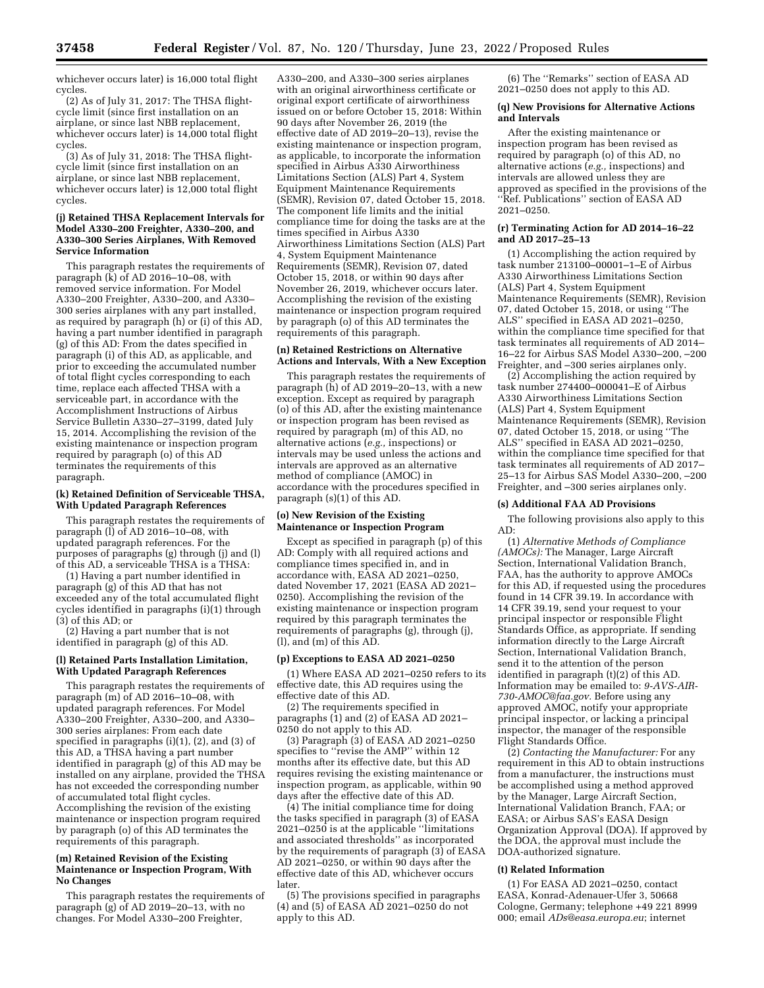whichever occurs later) is 16,000 total flight cycles.

(2) As of July 31, 2017: The THSA flightcycle limit (since first installation on an airplane, or since last NBB replacement, whichever occurs later) is 14,000 total flight cycles.

(3) As of July 31, 2018: The THSA flightcycle limit (since first installation on an airplane, or since last NBB replacement, whichever occurs later) is 12,000 total flight cycles.

#### **(j) Retained THSA Replacement Intervals for Model A330–200 Freighter, A330–200, and A330–300 Series Airplanes, With Removed Service Information**

This paragraph restates the requirements of paragraph  $(K)$  of AD 2016–10–08, with removed service information. For Model A330–200 Freighter, A330–200, and A330– 300 series airplanes with any part installed, as required by paragraph (h) or (i) of this AD, having a part number identified in paragraph (g) of this AD: From the dates specified in paragraph (i) of this AD, as applicable, and prior to exceeding the accumulated number of total flight cycles corresponding to each time, replace each affected THSA with a serviceable part, in accordance with the Accomplishment Instructions of Airbus Service Bulletin A330–27–3199, dated July 15, 2014. Accomplishing the revision of the existing maintenance or inspection program required by paragraph (o) of this AD terminates the requirements of this paragraph.

#### **(k) Retained Definition of Serviceable THSA, With Updated Paragraph References**

This paragraph restates the requirements of paragraph (l) of AD 2016–10–08, with updated paragraph references. For the purposes of paragraphs (g) through (j) and (l) of this AD, a serviceable THSA is a THSA:

(1) Having a part number identified in paragraph (g) of this AD that has not exceeded any of the total accumulated flight cycles identified in paragraphs (i)(1) through (3) of this AD; or

(2) Having a part number that is not identified in paragraph (g) of this AD.

## **(l) Retained Parts Installation Limitation, With Updated Paragraph References**

This paragraph restates the requirements of paragraph (m) of AD 2016–10–08, with updated paragraph references. For Model A330–200 Freighter, A330–200, and A330– 300 series airplanes: From each date specified in paragraphs  $(i)(1)$ ,  $(2)$ , and  $(3)$  of this AD, a THSA having a part number identified in paragraph  $(g)$  of this AD may be installed on any airplane, provided the THSA has not exceeded the corresponding number of accumulated total flight cycles. Accomplishing the revision of the existing maintenance or inspection program required by paragraph (o) of this AD terminates the requirements of this paragraph.

## **(m) Retained Revision of the Existing Maintenance or Inspection Program, With No Changes**

This paragraph restates the requirements of paragraph (g) of AD 2019–20–13, with no changes. For Model A330–200 Freighter,

A330–200, and A330–300 series airplanes with an original airworthiness certificate or original export certificate of airworthiness issued on or before October 15, 2018: Within 90 days after November 26, 2019 (the effective date of AD 2019–20–13), revise the existing maintenance or inspection program, as applicable, to incorporate the information specified in Airbus A330 Airworthiness Limitations Section (ALS) Part 4, System Equipment Maintenance Requirements (SEMR), Revision 07, dated October 15, 2018. The component life limits and the initial compliance time for doing the tasks are at the times specified in Airbus A330 Airworthiness Limitations Section (ALS) Part 4, System Equipment Maintenance Requirements (SEMR), Revision 07, dated October 15, 2018, or within 90 days after November 26, 2019, whichever occurs later. Accomplishing the revision of the existing maintenance or inspection program required by paragraph (o) of this AD terminates the requirements of this paragraph.

## **(n) Retained Restrictions on Alternative Actions and Intervals, With a New Exception**

This paragraph restates the requirements of paragraph (h) of AD 2019–20–13, with a new exception. Except as required by paragraph (o) of this AD, after the existing maintenance or inspection program has been revised as required by paragraph (m) of this AD, no alternative actions (*e.g.,* inspections) or intervals may be used unless the actions and intervals are approved as an alternative method of compliance (AMOC) in accordance with the procedures specified in paragraph (s)(1) of this AD.

#### **(o) New Revision of the Existing Maintenance or Inspection Program**

Except as specified in paragraph (p) of this AD: Comply with all required actions and compliance times specified in, and in accordance with, EASA AD 2021–0250, dated November 17, 2021 (EASA AD 2021– 0250). Accomplishing the revision of the existing maintenance or inspection program required by this paragraph terminates the requirements of paragraphs (g), through (j), (l), and (m) of this AD.

# **(p) Exceptions to EASA AD 2021–0250**

(1) Where EASA AD 2021–0250 refers to its effective date, this AD requires using the effective date of this AD.

(2) The requirements specified in paragraphs  $(1)$  and  $(2)$  of EASA AD 2021– 0250 do not apply to this AD.

(3) Paragraph (3) of EASA AD 2021–0250 specifies to ''revise the AMP'' within 12 months after its effective date, but this AD requires revising the existing maintenance or inspection program, as applicable, within 90 days after the effective date of this AD.

(4) The initial compliance time for doing the tasks specified in paragraph (3) of EASA 2021–0250 is at the applicable ''limitations and associated thresholds'' as incorporated by the requirements of paragraph (3) of EASA  $AD$  2021–0250, or within 90 days after the effective date of this AD, whichever occurs later.

(5) The provisions specified in paragraphs (4) and (5) of EASA AD 2021–0250 do not apply to this AD.

(6) The ''Remarks'' section of EASA AD 2021–0250 does not apply to this AD.

## **(q) New Provisions for Alternative Actions and Intervals**

After the existing maintenance or inspection program has been revised as required by paragraph (o) of this AD, no alternative actions (*e.g.,* inspections) and intervals are allowed unless they are approved as specified in the provisions of the ''Ref. Publications'' section of EASA AD 2021–0250.

#### **(r) Terminating Action for AD 2014–16–22 and AD 2017–25–13**

(1) Accomplishing the action required by task number 213100–00001–1–E of Airbus A330 Airworthiness Limitations Section (ALS) Part 4, System Equipment Maintenance Requirements (SEMR), Revision 07, dated October 15, 2018, or using ''The ALS'' specified in EASA AD 2021–0250, within the compliance time specified for that task terminates all requirements of AD 2014– 16–22 for Airbus SAS Model A330–200, –200 Freighter, and –300 series airplanes only.

(2) Accomplishing the action required by task number 274400–000041–E of Airbus A330 Airworthiness Limitations Section (ALS) Part 4, System Equipment Maintenance Requirements (SEMR), Revision 07, dated October 15, 2018, or using ''The ALS'' specified in EASA AD 2021–0250, within the compliance time specified for that task terminates all requirements of AD 2017– 25–13 for Airbus SAS Model A330–200, –200 Freighter, and –300 series airplanes only.

## **(s) Additional FAA AD Provisions**

The following provisions also apply to this AD:

(1) *Alternative Methods of Compliance (AMOCs):* The Manager, Large Aircraft Section, International Validation Branch, FAA, has the authority to approve AMOCs for this AD, if requested using the procedures found in 14 CFR 39.19. In accordance with 14 CFR 39.19, send your request to your principal inspector or responsible Flight Standards Office, as appropriate. If sending information directly to the Large Aircraft Section, International Validation Branch, send it to the attention of the person identified in paragraph (t)(2) of this AD. Information may be emailed to: *[9-AVS-AIR-](mailto:9-AVS-AIR-730-AMOC@faa.gov)[730-AMOC@faa.gov.](mailto:9-AVS-AIR-730-AMOC@faa.gov)* Before using any approved AMOC, notify your appropriate principal inspector, or lacking a principal inspector, the manager of the responsible Flight Standards Office.

(2) *Contacting the Manufacturer:* For any requirement in this AD to obtain instructions from a manufacturer, the instructions must be accomplished using a method approved by the Manager, Large Aircraft Section, International Validation Branch, FAA; or EASA; or Airbus SAS's EASA Design Organization Approval (DOA). If approved by the DOA, the approval must include the DOA-authorized signature.

#### **(t) Related Information**

(1) For EASA AD 2021–0250, contact EASA, Konrad-Adenauer-Ufer 3, 50668 Cologne, Germany; telephone +49 221 8999 000; email *[ADs@easa.europa.eu](mailto:ADs@easa.europa.eu)*; internet